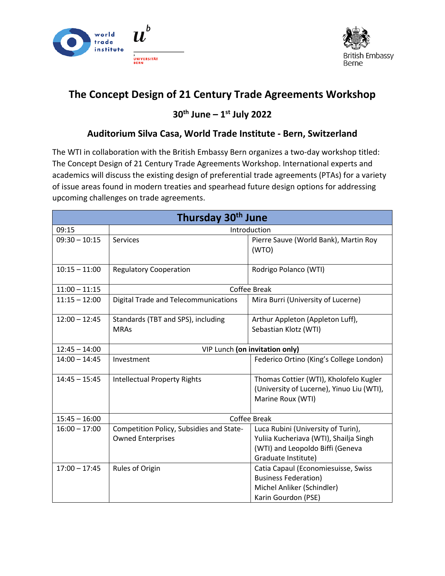



## **The Concept Design of 21 Century Trade Agreements Workshop**

## **30th June – 1st July 2022**

## **Auditorium Silva Casa, World Trade Institute - Bern, Switzerland**

The WTI in collaboration with the British Embassy Bern organizes a two-day workshop titled: The Concept Design of 21 Century Trade Agreements Workshop. International experts and academics will discuss the existing design of preferential trade agreements (PTAs) for a variety of issue areas found in modern treaties and spearhead future design options for addressing upcoming challenges on trade agreements.

| Thursday 30 <sup>th</sup> June |                                                                      |                                                                                                                                         |  |
|--------------------------------|----------------------------------------------------------------------|-----------------------------------------------------------------------------------------------------------------------------------------|--|
| 09:15                          | Introduction                                                         |                                                                                                                                         |  |
| $09:30 - 10:15$                | <b>Services</b>                                                      | Pierre Sauve (World Bank), Martin Roy<br>(WTO)                                                                                          |  |
| $10:15 - 11:00$                | <b>Regulatory Cooperation</b>                                        | Rodrigo Polanco (WTI)                                                                                                                   |  |
| $11:00 - 11:15$                | Coffee Break                                                         |                                                                                                                                         |  |
| $11:15 - 12:00$                | Digital Trade and Telecommunications                                 | Mira Burri (University of Lucerne)                                                                                                      |  |
| $12:00 - 12:45$                | Standards (TBT and SPS), including<br><b>MRAs</b>                    | Arthur Appleton (Appleton Luff),<br>Sebastian Klotz (WTI)                                                                               |  |
| $12:45 - 14:00$                | VIP Lunch (on invitation only)                                       |                                                                                                                                         |  |
| $14:00 - 14:45$                | Investment                                                           | Federico Ortino (King's College London)                                                                                                 |  |
| $14:45 - 15:45$                | <b>Intellectual Property Rights</b>                                  | Thomas Cottier (WTI), Kholofelo Kugler<br>(University of Lucerne), Yinuo Liu (WTI),<br>Marine Roux (WTI)                                |  |
| $15:45 - 16:00$                | Coffee Break                                                         |                                                                                                                                         |  |
| $16:00 - 17:00$                | Competition Policy, Subsidies and State-<br><b>Owned Enterprises</b> | Luca Rubini (University of Turin),<br>Yuliia Kucheriava (WTI), Shailja Singh<br>(WTI) and Leopoldo Biffi (Geneva<br>Graduate Institute) |  |
| $17:00 - 17:45$                | Rules of Origin                                                      | Catia Capaul (Economiesuisse, Swiss<br><b>Business Federation)</b><br>Michel Anliker (Schindler)<br>Karin Gourdon (PSE)                 |  |